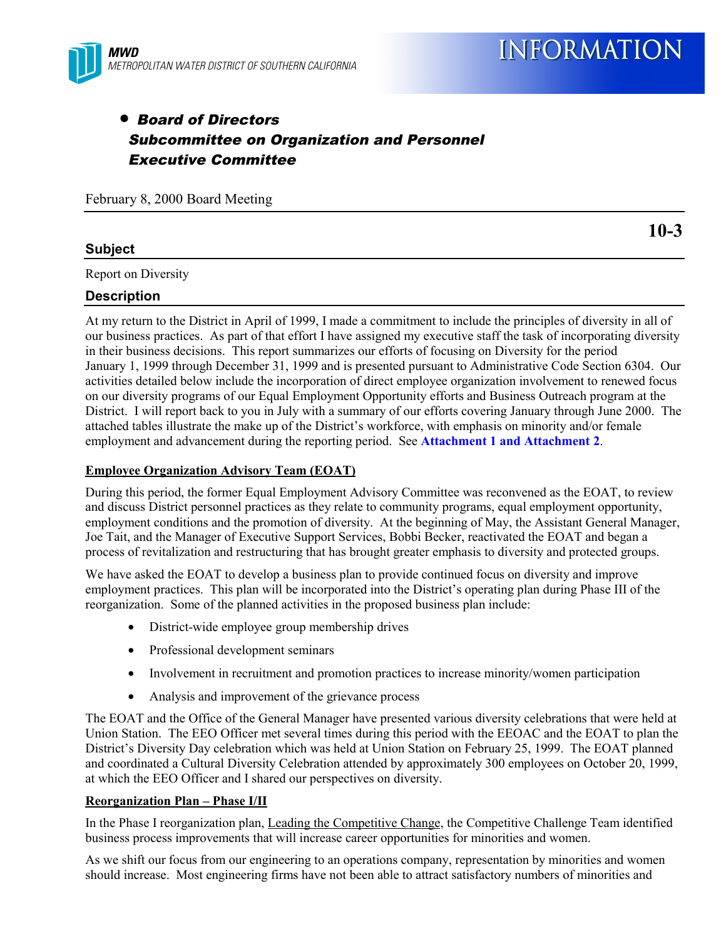

**10-3**

## • Board of Directors Subcommittee on Organization and Personnel Executive Committee

February 8, 2000 Board Meeting

## **Subject**

Report on Diversity

### **Description**

At my return to the District in April of 1999, I made a commitment to include the principles of diversity in all of our business practices. As part of that effort I have assigned my executive staff the task of incorporating diversity in their business decisions. This report summarizes our efforts of focusing on Diversity for the period January 1, 1999 through December 31, 1999 and is presented pursuant to Administrative Code Section 6304. Our activities detailed below include the incorporation of direct employee organization involvement to renewed focus on our diversity programs of our Equal Employment Opportunity efforts and Business Outreach program at the District. I will report back to you in July with a summary of our efforts covering January through June 2000. The attached tables illustrate the make up of the District's workforce, with emphasis on minority and/or female employment and advancement during the reporting period. See **Attachment 1 and Attachment 2**.

### **Employee Organization Advisory Team (EOAT)**

During this period, the former Equal Employment Advisory Committee was reconvened as the EOAT, to review and discuss District personnel practices as they relate to community programs, equal employment opportunity, employment conditions and the promotion of diversity. At the beginning of May, the Assistant General Manager, Joe Tait, and the Manager of Executive Support Services, Bobbi Becker, reactivated the EOAT and began a process of revitalization and restructuring that has brought greater emphasis to diversity and protected groups.

We have asked the EOAT to develop a business plan to provide continued focus on diversity and improve employment practices. This plan will be incorporated into the District's operating plan during Phase III of the reorganization. Some of the planned activities in the proposed business plan include:

- District-wide employee group membership drives
- Professional development seminars
- Involvement in recruitment and promotion practices to increase minority/women participation
- Analysis and improvement of the grievance process

The EOAT and the Office of the General Manager have presented various diversity celebrations that were held at Union Station. The EEO Officer met several times during this period with the EEOAC and the EOAT to plan the District's Diversity Day celebration which was held at Union Station on February 25, 1999. The EOAT planned and coordinated a Cultural Diversity Celebration attended by approximately 300 employees on October 20, 1999, at which the EEO Officer and I shared our perspectives on diversity.

### **Reorganization Plan – Phase I/II**

In the Phase I reorganization plan, Leading the Competitive Change, the Competitive Challenge Team identified business process improvements that will increase career opportunities for minorities and women.

As we shift our focus from our engineering to an operations company, representation by minorities and women should increase. Most engineering firms have not been able to attract satisfactory numbers of minorities and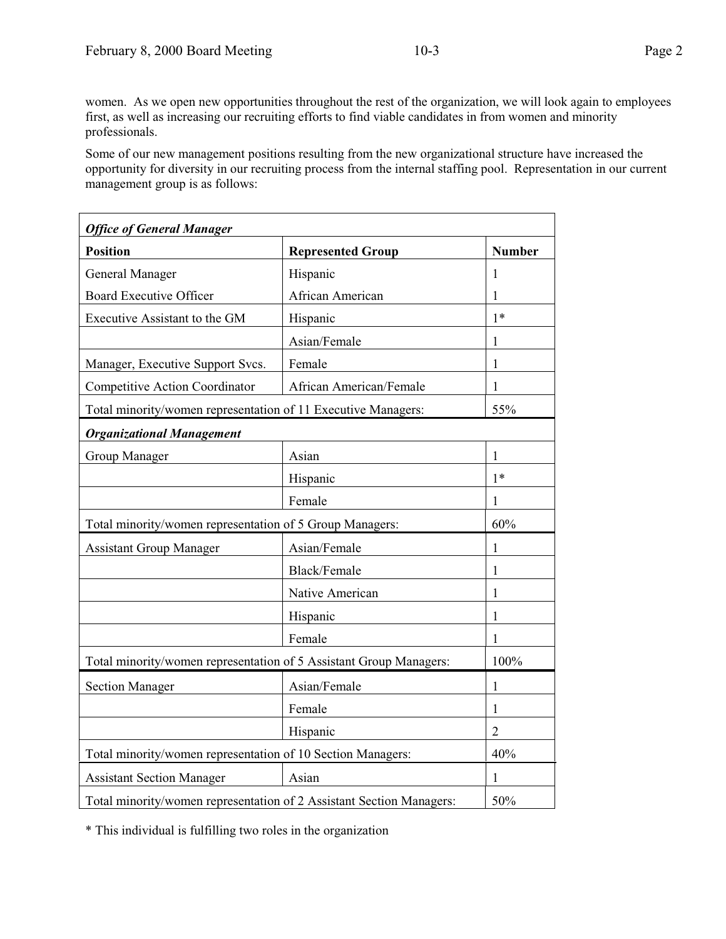women. As we open new opportunities throughout the rest of the organization, we will look again to employees first, as well as increasing our recruiting efforts to find viable candidates in from women and minority professionals.

Some of our new management positions resulting from the new organizational structure have increased the opportunity for diversity in our recruiting process from the internal staffing pool. Representation in our current management group is as follows:

| <b>Office of General Manager</b>                                   |                                                                      |                |
|--------------------------------------------------------------------|----------------------------------------------------------------------|----------------|
| <b>Position</b>                                                    | <b>Represented Group</b>                                             | <b>Number</b>  |
| General Manager                                                    | Hispanic                                                             | 1              |
| <b>Board Executive Officer</b>                                     | African American                                                     | 1              |
| Executive Assistant to the GM                                      | Hispanic                                                             | $1*$           |
|                                                                    | Asian/Female                                                         | 1              |
| Manager, Executive Support Svcs.                                   | Female                                                               | 1              |
| Competitive Action Coordinator                                     | African American/Female                                              | 1              |
| Total minority/women representation of 11 Executive Managers:      |                                                                      | 55%            |
| <b>Organizational Management</b>                                   |                                                                      |                |
| Group Manager                                                      | Asian                                                                | $\mathbf{1}$   |
|                                                                    | Hispanic                                                             | $1*$           |
|                                                                    | Female                                                               | 1              |
| Total minority/women representation of 5 Group Managers:           |                                                                      | 60%            |
| <b>Assistant Group Manager</b>                                     | Asian/Female                                                         | 1              |
|                                                                    | Black/Female                                                         | 1              |
|                                                                    | Native American                                                      | 1              |
|                                                                    | Hispanic                                                             | 1              |
|                                                                    | Female                                                               | 1              |
| Total minority/women representation of 5 Assistant Group Managers: |                                                                      | 100%           |
| <b>Section Manager</b>                                             | Asian/Female                                                         | 1              |
|                                                                    | Female                                                               | 1              |
|                                                                    | Hispanic                                                             | $\overline{2}$ |
| Total minority/women representation of 10 Section Managers:        |                                                                      | 40%            |
| <b>Assistant Section Manager</b>                                   | Asian                                                                | 1              |
|                                                                    | Total minority/women representation of 2 Assistant Section Managers: | 50%            |

\* This individual is fulfilling two roles in the organization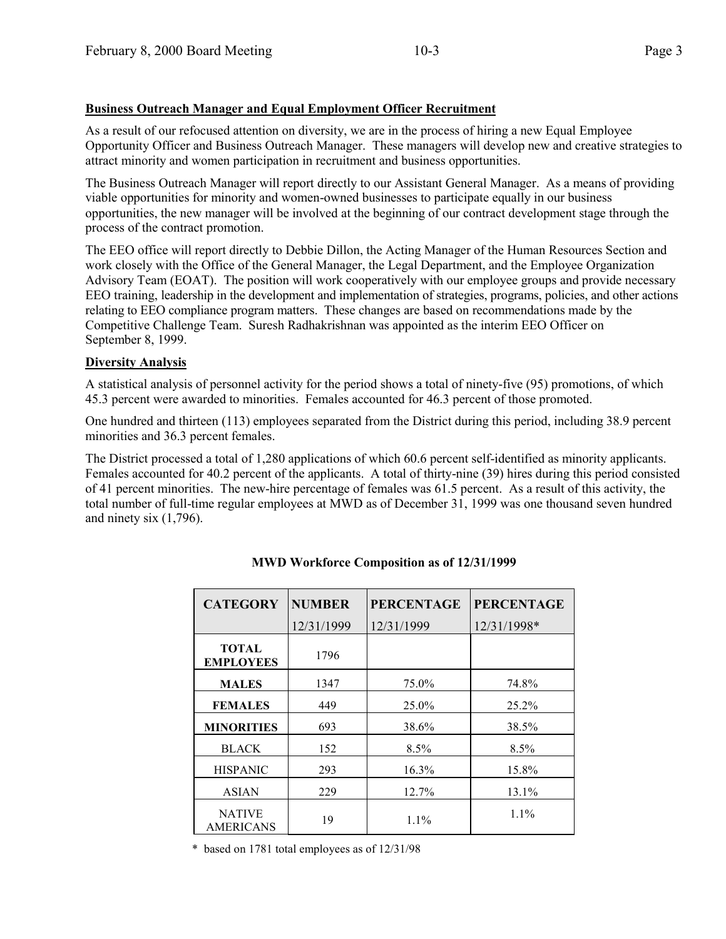**Business Outreach Manager and Equal Employment Officer Recruitment**

As a result of our refocused attention on diversity, we are in the process of hiring a new Equal Employee Opportunity Officer and Business Outreach Manager. These managers will develop new and creative strategies to attract minority and women participation in recruitment and business opportunities.

The Business Outreach Manager will report directly to our Assistant General Manager. As a means of providing viable opportunities for minority and women-owned businesses to participate equally in our business opportunities, the new manager will be involved at the beginning of our contract development stage through the process of the contract promotion.

The EEO office will report directly to Debbie Dillon, the Acting Manager of the Human Resources Section and work closely with the Office of the General Manager, the Legal Department, and the Employee Organization Advisory Team (EOAT). The position will work cooperatively with our employee groups and provide necessary EEO training, leadership in the development and implementation of strategies, programs, policies, and other actions relating to EEO compliance program matters. These changes are based on recommendations made by the Competitive Challenge Team. Suresh Radhakrishnan was appointed as the interim EEO Officer on September 8, 1999.

## **Diversity Analysis**

A statistical analysis of personnel activity for the period shows a total of ninety-five (95) promotions, of which 45.3 percent were awarded to minorities. Females accounted for 46.3 percent of those promoted.

One hundred and thirteen (113) employees separated from the District during this period, including 38.9 percent minorities and 36.3 percent females.

The District processed a total of 1,280 applications of which 60.6 percent self-identified as minority applicants. Females accounted for 40.2 percent of the applicants. A total of thirty-nine (39) hires during this period consisted of 41 percent minorities. The new-hire percentage of females was 61.5 percent. As a result of this activity, the total number of full-time regular employees at MWD as of December 31, 1999 was one thousand seven hundred and ninety six (1,796).

| <b>CATEGORY</b>                   | <b>NUMBER</b> | <b>PERCENTAGE</b> | <b>PERCENTAGE</b> |
|-----------------------------------|---------------|-------------------|-------------------|
|                                   | 12/31/1999    | 12/31/1999        | 12/31/1998*       |
| <b>TOTAL</b><br><b>EMPLOYEES</b>  | 1796          |                   |                   |
| <b>MALES</b>                      | 1347          | 75.0%             | 74.8%             |
| <b>FEMALES</b>                    | 449           | 25.0%             | 25.2%             |
| <b>MINORITIES</b>                 | 693           | 38.6%             | 38.5%             |
| <b>BLACK</b>                      | 152           | $8.5\%$           | 8.5%              |
| <b>HISPANIC</b>                   | 293           | 16.3%             | 15.8%             |
| <b>ASIAN</b>                      | 229           | 12.7%             | 13.1%             |
| <b>NATIVE</b><br><b>AMERICANS</b> | 19            | 1.1%              | $1.1\%$           |

## **MWD Workforce Composition as of 12/31/1999**

\* based on 1781 total employees as of 12/31/98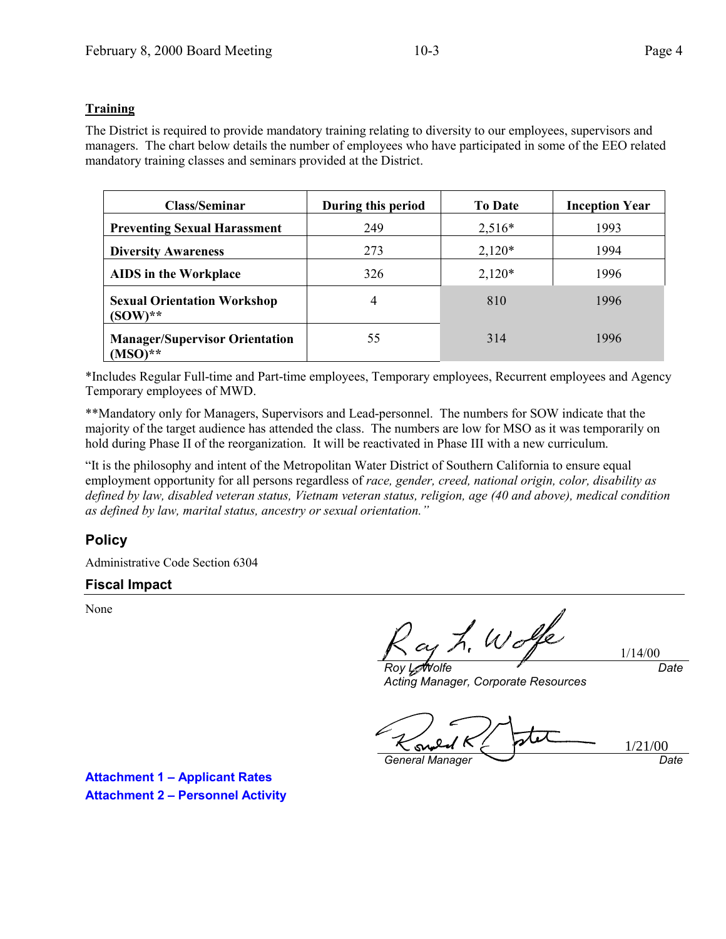## **Training**

The District is required to provide mandatory training relating to diversity to our employees, supervisors and managers. The chart below details the number of employees who have participated in some of the EEO related mandatory training classes and seminars provided at the District.

| Class/Seminar                                      | During this period | <b>To Date</b> | <b>Inception Year</b> |
|----------------------------------------------------|--------------------|----------------|-----------------------|
| <b>Preventing Sexual Harassment</b>                | 249                | $2,516*$       | 1993                  |
| <b>Diversity Awareness</b>                         | 273                | $2,120*$       | 1994                  |
| <b>AIDS</b> in the Workplace                       | 326                | $2,120*$       | 1996                  |
| <b>Sexual Orientation Workshop</b><br>$(SOW)**$    | 4                  | 810            | 1996                  |
| <b>Manager/Supervisor Orientation</b><br>$(MSO)**$ | 55                 | 314            | 1996                  |

\*Includes Regular Full-time and Part-time employees, Temporary employees, Recurrent employees and Agency Temporary employees of MWD.

\*\*Mandatory only for Managers, Supervisors and Lead-personnel. The numbers for SOW indicate that the majority of the target audience has attended the class. The numbers are low for MSO as it was temporarily on hold during Phase II of the reorganization. It will be reactivated in Phase III with a new curriculum.

"It is the philosophy and intent of the Metropolitan Water District of Southern California to ensure equal employment opportunity for all persons regardless of *race, gender, creed, national origin, color, disability as defined by law, disabled veteran status, Vietnam veteran status, religion, age (40 and above), medical condition as defined by law, marital status, ancestry or sexual orientation."*

## **Policy**

Administrative Code Section 6304

## **Fiscal Impact**

None

L. Wolfe

1/14/00 *Date*

*Roy L. Wolfe Acting Manager, Corporate Resources*

1/21/00s *General Manager Date*

**Attachment 1 – Applicant Rates Attachment 2 – Personnel Activity**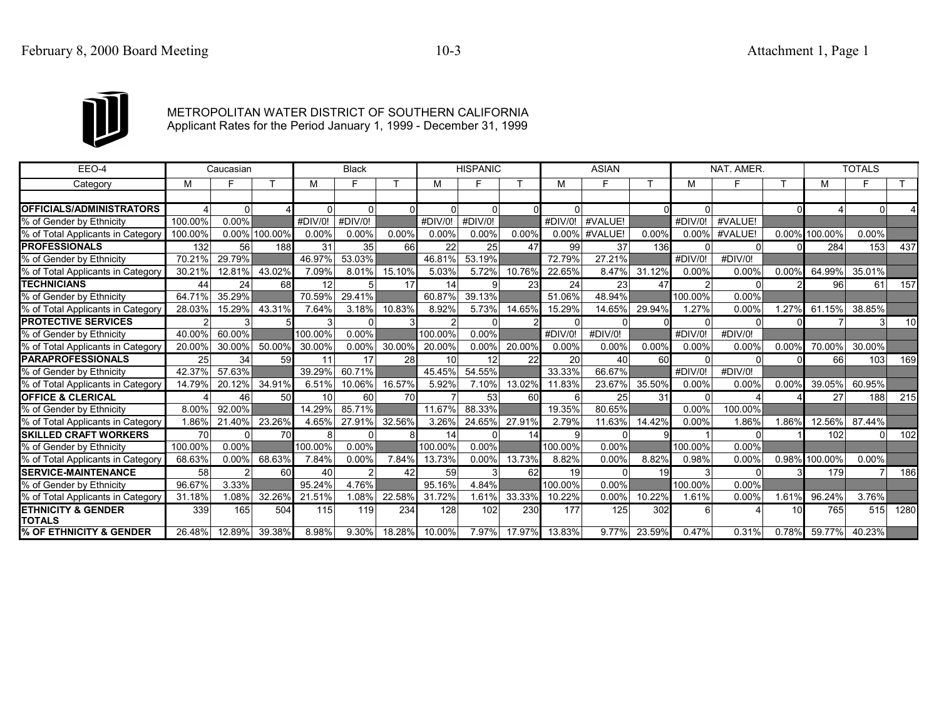

# METROPOLITAN WATER DISTRICT OF SOUTHERN CALIFORNIA Applicant Rates for the Period January 1, 1999 - December 31, 1999

| EEO-4                                          |                | Caucasian |               |         | <b>Black</b>   |        |                 | <b>HISPANIC</b> |        |               | <b>ASIAN</b> |        |                | NAT. AMER. |                 |               | <b>TOTALS</b> |      |
|------------------------------------------------|----------------|-----------|---------------|---------|----------------|--------|-----------------|-----------------|--------|---------------|--------------|--------|----------------|------------|-----------------|---------------|---------------|------|
| Category                                       | M              |           |               | M       |                |        | м               |                 |        | м             |              |        | м              |            |                 | м             | Е             |      |
|                                                |                |           |               |         |                |        |                 |                 |        |               |              |        |                |            |                 |               |               |      |
| <b>OFFICIALS/ADMINISTRATORS</b>                |                |           |               |         | $\Omega$       |        | $\Omega$        | <sup>0</sup>    |        |               |              |        | 0              |            |                 |               |               |      |
| % of Gender by Ethnicity                       | 100.00%        | 0.00%     |               | #DIV/0! | #DIV/0!        |        | #DIV/0!         | #DIV/0!         |        | #DIV/0!       | #VALUE!      |        | #DIV/0!        | #VALUE!    |                 |               |               |      |
| % of Total Applicants in Category              | 100.00%        |           | 0.00% 100.00% | 0.00%   | 0.00%          | 0.00%  | $0.00\%$        | $0.00\%$        | 0.00%  | 0.00%         | #VALUE!      | 0.00%  | $0.00\%$       | #VALUE!    |                 | 0.00% 100.00% | $0.00\%$      |      |
| <b>PROFESSIONALS</b>                           | 132            | 56        | 188           | 31      | 35             | 66     | 22              | 25              | 47     | 99            | 37           | 136    | $\Omega$       | $\Omega$   |                 | 284           | 153           | 437  |
| % of Gender by Ethnicity                       | 70.21%         | 29.79%    |               | 46.97%  | 53.03%         |        | 46.81%          | 53.19%          |        | 72.79%        | 27.21%       |        | #DIV/0!        | #DIV/0!    |                 |               |               |      |
| % of Total Applicants in Category              | 30.21%         | 12.81%    | 43.02%        | 7.09%   | 8.01%          | 15.10% | 5.03%           | 5.72%           | 10.76% | 22.65%        | 8.47%        | 31.12% | 0.00%          | 0.00%      | 0.00%           | 64.99%        | 35.01%        |      |
| <b>TECHNICIANS</b>                             | 44             | 24        | 68            | 12      | 5              | 17     | 14              | 9               | 23     | 24            | 23           | 47     | $\overline{2}$ |            |                 | 96            | 61            | 157  |
| % of Gender by Ethnicity                       | 64.71%         | 35.29%    |               | 70.59%  | 29.41%         |        | 60.87%          | 39.13%          |        | 51.06%        | 48.94%       |        | 100.00%        | 0.00%      |                 |               |               |      |
| % of Total Applicants in Category              | 28.03%         | 15.29%    | 43.31%        | 7.64%   | 3.18%          | 10.83% | 8.92%           | 5.73%           | 14.65% | 15.29%        | 14.65%       | 29.94% | 1.27%          | 0.00%      | 1.27%           | 61.15%        | 38.85%        |      |
| <b>PROTECTIVE SERVICES</b>                     | $\overline{2}$ |           |               |         | n              |        | $\overline{2}$  | <sup>0</sup>    |        |               |              |        | $\Omega$       |            |                 |               | 3             | 10   |
| % of Gender by Ethnicity                       | 40.00%         | 60.00%    |               | 100.00% | 0.00%          |        | 100.00%         | 0.00%           |        | #DIV/0!       | #DIV/0!      |        | #DIV/0!        | #DIV/0!    |                 |               |               |      |
| % of Total Applicants in Category              | 20.00%         | 30.00%    | 50.00%        | 30.00%  | 0.00%          | 30.00% | 20.00%          | $0.00\%$        | 20.00% | 0.00%         | 0.00%        | 0.00%  | 0.00%          | 0.00%      | 0.00%           | 70.00%        | 30.00%        |      |
| <b>PARAPROFESSIONALS</b>                       | 25             | 34        | 59            | 11      | 17             | 28     | 10 <sup>1</sup> | 12              | 22     | 20            | 40           | 60     | $\Omega$       | $\Omega$   |                 | 66            | 103           | 169  |
| % of Gender by Ethnicity                       | 42.37%         | 57.63%    |               | 39.29%  | 60.71%         |        | 45.45%          | 54.55%          |        | 33.33%        | 66.67%       |        | #DIV/0!        | #DIV/0!    |                 |               |               |      |
| % of Total Applicants in Category              | 14.79%         | 20.12%    | 34.91%        | 6.51%   | 10.06%         | 16.57% | 5.92%           | 7.10%           | 13.02% | 11.83%        | 23.67%       | 35.50% | 0.00%          | 0.00%      | 0.00%           | 39.05%        | 60.95%        |      |
| <b>OFFICE &amp; CLERICAL</b>                   |                | 46        | 50            | 10      | 60             | 70     |                 | 53              | 60     | 6             | 25           | 31     | $\Omega$       |            |                 | 27            | 188           | 215  |
| % of Gender by Ethnicity                       | 8.00%          | 92.00%    |               | 14.29%  | 85.71%         |        | 11.67%          | 88.33%          |        | 19.35%        | 80.65%       |        | 0.00%          | 100.00%    |                 |               |               |      |
| % of Total Applicants in Category              | 1.86%          | 21.40%    | 23.26%        | 4.65%   | 27.91%         | 32.56% | 3.26%           | 24.65%          | 27.91% | 2.79%         | 11.63%       | 14.42% | 0.00%          | 1.86%      | 1.86%           | $12.56\%$     | 87.44%        |      |
| <b>SKILLED CRAFT WORKERS</b>                   | 70             |           | 70            |         | U              |        | 14              | <sup>0</sup>    | 14     |               |              |        |                |            |                 | 102           | U             | 102  |
| % of Gender by Ethnicity                       | 100.00%        | 0.00%     |               | 100.00% | 0.00%          |        | 100.00%         | 0.00%           |        | 100.00%       | 0.00%        |        | 100.00%        | 0.00%      |                 |               |               |      |
| % of Total Applicants in Category              | 68.63%         | 0.00%     | 68.63%        | 7.84%   | 0.00%          | 7.84%  | 13.73%          | $0.00\%$        | 13.73% | 8.82%         | 0.00%        | 8.82%  | 0.98%          | 0.00%      |                 | 0.98% 100.00% | $0.00\%$      |      |
| <b>SERVICE-MAINTENANCE</b>                     | 58             | 2         | 60            | 40      | $\mathfrak{p}$ | 42     | 59              | 3               | 62     | 19            | ∩            | 19     | 3              | U          |                 | 179           |               | 186  |
| % of Gender by Ethnicity                       | 96.67%         | 3.33%     |               | 95.24%  | 4.76%          |        | 95.16%          | 4.84%           |        | 100.00%       | 0.00%        |        | 100.00%        | 0.00%      |                 |               |               |      |
| % of Total Applicants in Category              | 31.18%         | 1.08%     | 32.26%        | 21.51%  | 1.08%          | 22.58% | 31.72%          | 1.61%           | 33.33% | 10.22%        | 0.00%        | 10.22% | 1.61%          | 0.00%      | 1.61%           | 96.24%        | 3.76%         |      |
| <b>ETHNICITY &amp; GENDER</b><br><b>TOTALS</b> | 339            | 165       | 504           | 115     | 119            | 234    | 128             | 102             | 230    | 177           | 125          | 302    | 6              |            | 10 <sup>1</sup> | 765           | 515           | 1280 |
| <b>% OF ETHNICITY &amp; GENDER</b>             | 26.48%         | 12.89%    | 39.38%        | 8.98%   | 9.30%          |        | 18.28% 10.00%   | 7.97%           |        | 17.97% 13.83% | 9.77%        | 23.59% | 0.47%          | 0.31%      | 0.78%           | 59.77%        | 40.23%        |      |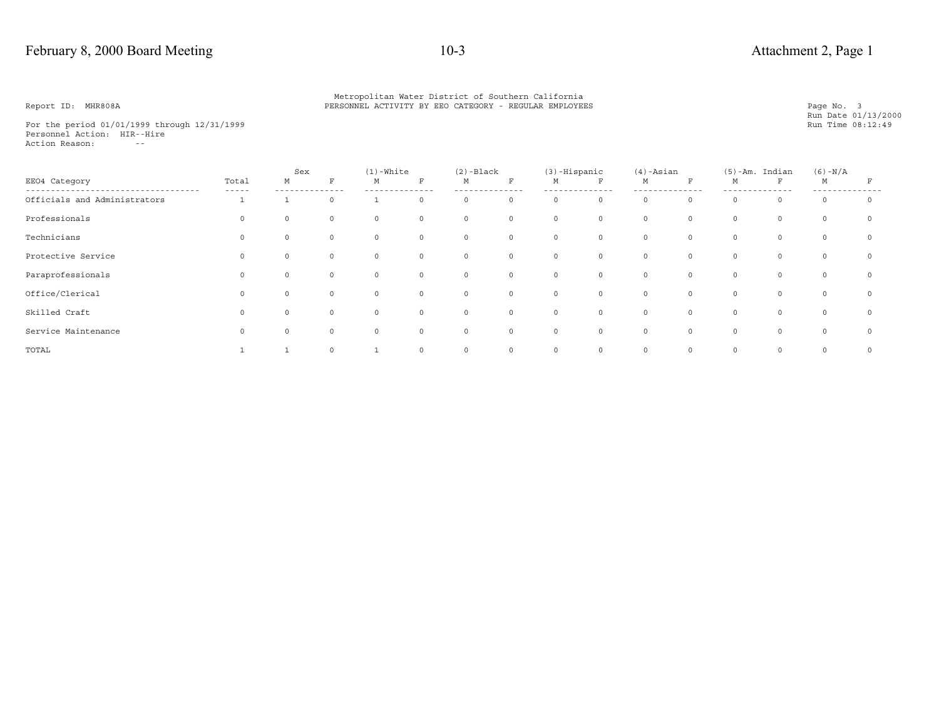For the period 01/01/1999 through 12/31/1999 Personnel Action: HIR--Hire Action Reason: --

|                              |                | Sex      |          | $(1)$ -White |             | $(2)$ -Black |             | $(3)$ -Hispanic |             | $(4)$ -Asian |          |          | $(5)$ -Am. Indian | $(6) - N/A$ |            |
|------------------------------|----------------|----------|----------|--------------|-------------|--------------|-------------|-----------------|-------------|--------------|----------|----------|-------------------|-------------|------------|
| EE04 Category                | Total<br>----- | М        | F        | М            | $_{\rm F}$  | М            | $\mathbf F$ | M               | F           | М            | F        | М        | F                 | М           | F          |
| Officials and Administrators |                |          | $\Omega$ |              | $\Omega$    | 0            | $\circ$     | $\circ$         | $\circ$     | $\circ$      | $\circ$  | $\circ$  | $\circ$           | $\mathbf 0$ | $\circ$    |
| Professionals                | 0              | $\circ$  | $\circ$  | $\circ$      | $\circ$     | $\circ$      | $\circ$     | $\circ$         | $\mathbb O$ | $\circ$      | $\circ$  | $\circ$  | $\circ$           | $\circ$     | $^{\circ}$ |
| Technicians                  | 0              | $\circ$  | $\circ$  | $\circ$      | $\circ$     | $\circ$      | $\circ$     | $\circ$         | $\mathbb O$ | $\circ$      | $\circ$  | $\circ$  | $\circ$           | $\circ$     | $\circ$    |
| Protective Service           | $\Omega$       | $\Omega$ | $\circ$  | $\circ$      | $\circ$     | $\circ$      | $\circ$     | $\circ$         | $\mathbf 0$ | $\circ$      | $\circ$  | $\circ$  | $\circ$           | $\circ$     | $\circ$    |
| Paraprofessionals            | $\Omega$       | $\circ$  | $\circ$  | $\circ$      | $\circ$     | $\circ$      | $\circ$     | $\circ$         | $\circ$     | $\circ$      | $\circ$  | $\circ$  | $\circ$           | $\circ$     | $\circ$    |
| Office/Clerical              | 0              | $\circ$  | $\circ$  | $\circ$      | $\circ$     | $\circ$      | $\circ$     | $\circ$         | $\circ$     | $\circ$      | $\circ$  | $\circ$  | $\circ$           | $\circ$     | $\circ$    |
| Skilled Craft                | $\Omega$       | $\Omega$ | $\Omega$ | $\Omega$     | $\Omega$    | $\circ$      | $\circ$     | $\circ$         | $\Omega$    | $\Omega$     | $\Omega$ | $\Omega$ | $\Omega$          | $\circ$     | $\Omega$   |
| Service Maintenance          | $\Omega$       | $\Omega$ | $\circ$  | $\circ$      | $\circ$     | $\circ$      | $\circ$     | $\circ$         | $\mathbf 0$ | $\circ$      | $\circ$  | $\circ$  | $\circ$           | $\circ$     | $\Omega$   |
| TOTAL                        |                |          | $\circ$  | $\mathbf{1}$ | $\mathbf 0$ | 0            | $\circ$     | $\circ$         | $\mathbf 0$ | $\circ$      | $\circ$  | 0        | $\circ$           | $\mathbf 0$ | $^{\circ}$ |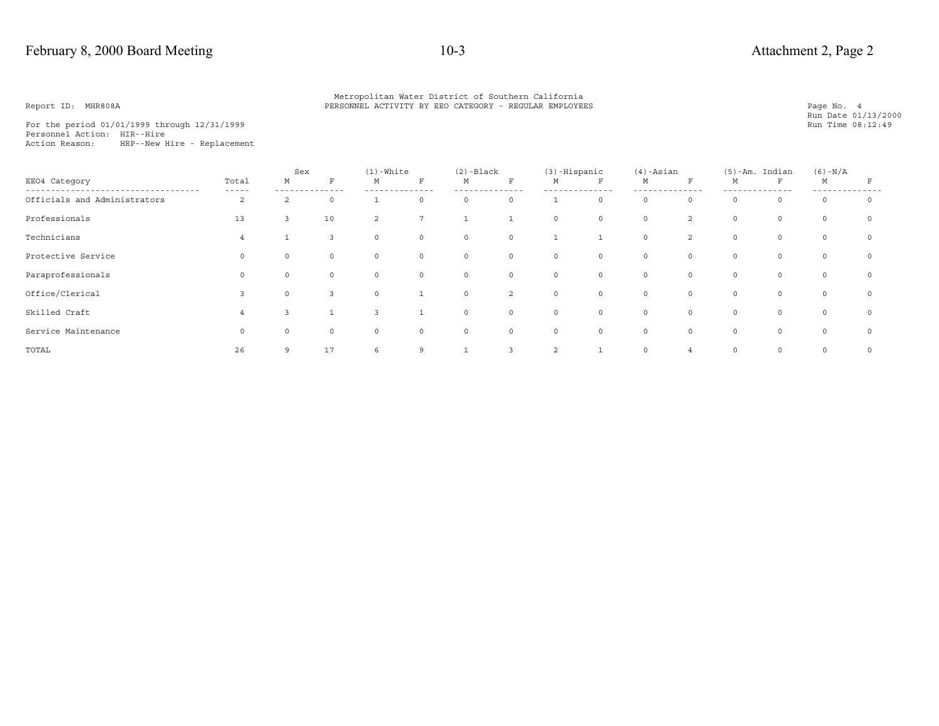For the period 01/01/1999 through 12/31/1999 Personnel Action: HIR--Hire Action Reason: HRP--New Hire - Replacement

|                              |                | Sex            |                | $(1)$ -White   |                 | $(2)$ -Black |                | $(3)$ -Hispanic |             | $(4)$ -Asian |                | $(5)$ -Am. | Indian      | $(6) - N/A$  |          |
|------------------------------|----------------|----------------|----------------|----------------|-----------------|--------------|----------------|-----------------|-------------|--------------|----------------|------------|-------------|--------------|----------|
| EE04 Category                | Total<br>----- | М              |                | M              | R               | М            | $\mathbf{F}$   | M               | F           | М            | F              | М          | $\mathbf F$ | M            |          |
| Officials and Administrators | 2              | $\mathfrak{D}$ | $\Omega$       |                | $\Omega$        | $\Omega$     | $\circ$        |                 | $\mathbf 0$ | $\Omega$     | $\Omega$       | $\Omega$   | 0           | $\Omega$     | $\Omega$ |
| Professionals                | 13             | 3              | 10             | 2              | $7\overline{ }$ | $\mathbf{1}$ | 1              | $\circ$         | $\circ$     | $\circ$      | $\overline{2}$ | $\circ$    | $\circ$     | $\circ$      | $\circ$  |
| Technicians                  | $\overline{4}$ |                | $\overline{3}$ | $\circ$        | $\circ$         | $\circ$      | $\circ$        |                 |             | $\circ$      | $\overline{2}$ | $\circ$    | $\circ$     | $\mathsf{O}$ | $\circ$  |
| Protective Service           | $\Omega$       | $\Omega$       | $\circ$        | $\circ$        | $\mathbf 0$     | $\circ$      | $\circ$        | $\circ$         | $\circ$     | $\circ$      | $\circ$        | $\circ$    | $\circ$     | $\circ$      | $\circ$  |
| Paraprofessionals            | $\Omega$       | $\Omega$       | $\circ$        | $\circ$        | $\circ$         | $\circ$      | $\circ$        | $\circ$         | $\circ$     | $\circ$      | $\circ$        | $\circ$    | $\circ$     | $\circ$      | $\circ$  |
| Office/Clerical              | 3              | $\circ$        | $\overline{3}$ | $\circ$        |                 | $\circ$      | $\overline{2}$ | $\circ$         | $\circ$     | $\circ$      | $\circ$        | $\circ$    | $\circ$     | $\circ$      | $\circ$  |
| Skilled Craft                | 4              |                |                | $\overline{3}$ |                 | $\circ$      | $\circ$        | $\circ$         | $\circ$     | $\circ$      | $\circ$        | $\Omega$   | $\circ$     | $\circ$      | $\circ$  |
| Service Maintenance          | $\Omega$       | $\circ$        | $\circ$        | $\circ$        | $\circ$         | $\circ$      | $\circ$        | $\circ$         | $\circ$     | $\circ$      | $\circ$        | $\circ$    | $\circ$     | $\circ$      | $\circ$  |
| TOTAL                        | 26             | 9              | 17             | 6              | 9               |              | 3              | $\overline{2}$  |             | $\circ$      | 4              | $\circ$    | $\circ$     | $\circ$      | $\circ$  |

Page No. 4<br>Run Date 01/13/2000<br>Run Time 08:12:49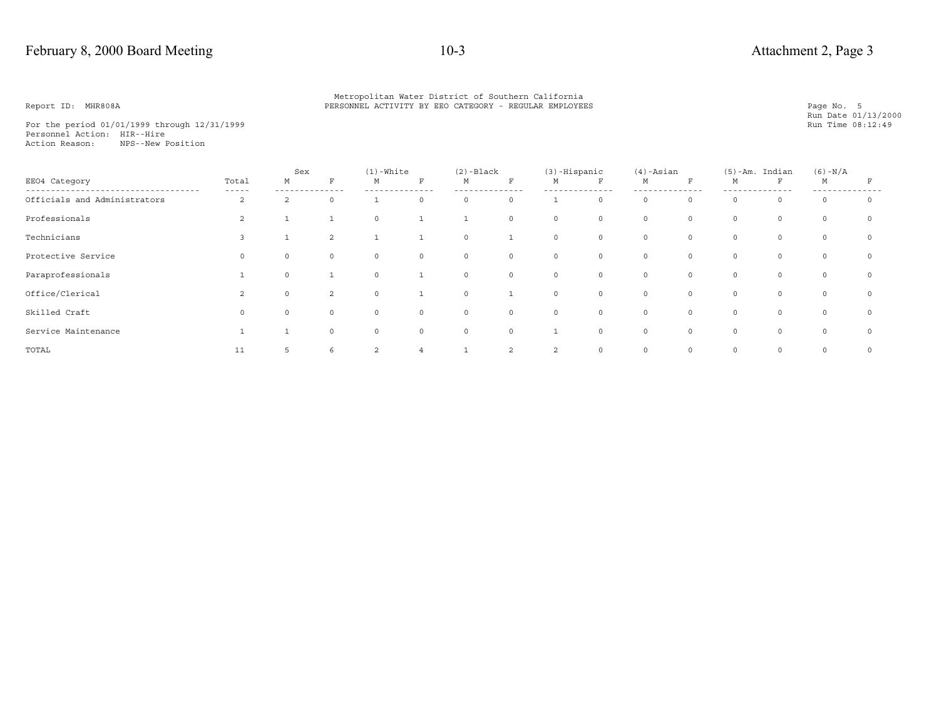## February 8, 2000 Board Meeting 10-3 Attachment 2, Page 3

### Metropolitan Water District of Southern California<br>PERSONNEL ACTIVITY BY EEO CATEGORY - REGULAR EMPLOYEE PERSONNEL ACTIVITY BY EEO CATEGORY - REGULAR EMPLOYEES

For the period 01/01/1999 through 12/31/1999 Personnel Action: HIR--HireAction Reason: NPS--New Position

|                              |                      | Sex           |                | $(1)$ -White   |              | $(2)$ -Black |             | $(3)$ -Hispanic |         | $(4)$ -Asian |          |          | $(5)$ -Am. Indian | $(6) - N/A$ |         |
|------------------------------|----------------------|---------------|----------------|----------------|--------------|--------------|-------------|-----------------|---------|--------------|----------|----------|-------------------|-------------|---------|
| EE04 Category                | Total<br>$- - - - -$ | М             | F              | М              | F            | М            | F           | М               | F       | М            | F        | М        | F                 | М           |         |
| Officials and Administrators | 2                    | $\mathcal{L}$ | 0              |                | $\circ$      | 0            | $\circ$     |                 | $\circ$ | $\mathbf 0$  | $\Omega$ | $\Omega$ | $\circ$           | $\circ$     | $\circ$ |
| Professionals                | 2                    |               |                | $\overline{0}$ | $\mathbf{1}$ | $\mathbf{1}$ | $\circ$     | $\circ$         | $\circ$ | 0            | $\circ$  | $\circ$  | $\circ$           | $\circ$     | 0       |
| Technicians                  | 3                    |               | $\overline{2}$ |                |              | $\circ$      |             | $\circ$         | $\circ$ | 0            | $\circ$  | $\circ$  | $\circ$           | $\circ$     | $\circ$ |
| Protective Service           |                      | 0             | $\circ$        | $\mathbb O$    | $\circ$      | $\circ$      | $\circ$     | $\circ$         | $\circ$ | $\circ$      | $\Omega$ | $\Omega$ | $\mathbf{0}$      | $\circ$     | $\circ$ |
| Paraprofessionals            |                      | $\circ$       |                | $\mathbf 0$    | $\mathbf{1}$ | $\circ$      | $\circ$     | $\circ$         | $\circ$ | $\circ$      | $\circ$  | $\circ$  | $\circ$           | $\circ$     | $\circ$ |
| Office/Clerical              | 2                    | $\circ$       | $\overline{2}$ | $\mathbf 0$    |              | $\circ$      |             | $\circ$         | $\circ$ | $\mathbf 0$  | $\circ$  | $\circ$  | $\circ$           | $\circ$     | $\circ$ |
| Skilled Craft                |                      | $\circ$       | $\circ$        | $\mathbb O$    | $\circ$      | $\circ$      | $\circ$     | $\circ$         | $\circ$ | $\circ$      | $\Omega$ | $\Omega$ | $\circ$           | $\circ$     | $\circ$ |
| Service Maintenance          |                      |               | $\circ$        | $\mathbf 0$    | $\circ$      | $\circ$      | $\mathbf 0$ |                 | $\circ$ | $\mathbf 0$  | $\Omega$ | $\Omega$ | $\Omega$          | $\circ$     | $\circ$ |
| TOTAL                        | 11                   | 5             | 6              | $\overline{2}$ |              |              | 2           | 2               | $\circ$ | $\circ$      | $\circ$  | $\circ$  | $\circ$           | $\circ$     | $\circ$ |

Page No. 5<br>Run Date 01/13/2000<br>Run Time 08:12:49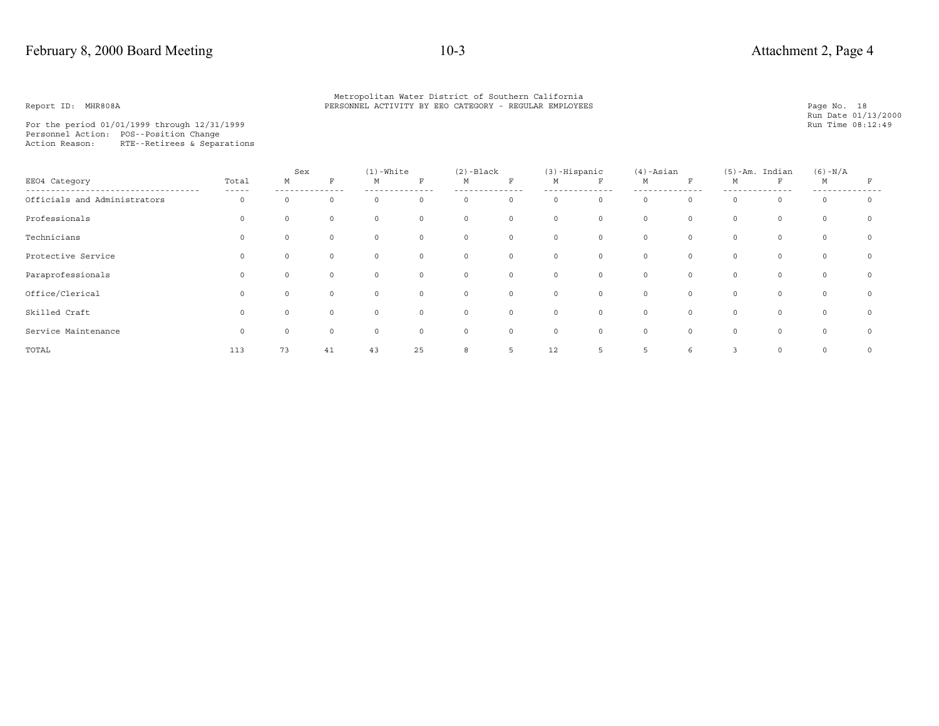Page No. 18<br>Run Date 01/13/2000<br>Run Time 08:12:49

For the period 01/01/1999 through 12/31/1999 Personnel Action: POS--Position Change Action Reason: RTE--Retirees & Separations

|                              |                | Sex      |          | $(1)$ -White |                | $(2)$ -Black |              | (3)-Hispanic |         | $(4)$ -Asian |         |              | $(5)$ -Am. Indian | $(6) - N/A$ |         |
|------------------------------|----------------|----------|----------|--------------|----------------|--------------|--------------|--------------|---------|--------------|---------|--------------|-------------------|-------------|---------|
| EE04 Category                | Total<br>----- | М        | R        | M            | F              | М            | F            | М            | F       | М            | R       | М            | F                 | M           | F       |
| Officials and Administrators | $\Omega$       |          |          | $\circ$      | $\mathbf 0$    | $\mathbf 0$  | $\circ$      | $\circ$      | $\circ$ | $\mathbf 0$  | $\circ$ | $\Omega$     | $\circ$           | $\mathbf 0$ | $\circ$ |
| Professionals                | 0              |          | $\Omega$ | $\circ$      | $\overline{0}$ | 0            | $\circ$      | $\circ$      | $\circ$ | $\circ$      | $\circ$ | 0            | $\circ$           | $\circ$     | $\circ$ |
| Technicians                  | $\Omega$       |          | $\Omega$ | $\circ$      | $\mathbf 0$    | $\circ$      | 0            | $\circ$      | $\circ$ | $\circ$      | $\circ$ | $\circ$      | $\circ$           | $\circ$     | $\circ$ |
| Protective Service           |                |          |          | $\circ$      | $\mathbb O$    | 0            | 0            | $\mathsf{O}$ | $\circ$ | $\mathbf 0$  | $\circ$ | 0            | $\circ$           | $\circ$     | $\circ$ |
| Paraprofessionals            | $\Omega$       |          | $\Omega$ | $\circ$      | $\mathbf 0$    | 0            | 0            | $\circ$      | $\circ$ | $\circ$      | $\circ$ | 0            | $\circ$           | $\circ$     | $\circ$ |
| Office/Clerical              | $\Omega$       | $\Omega$ | $\Omega$ | $\circ$      | $\mathbf 0$    | $\circ$      | $\mathsf{O}$ | $\circ$      | $\circ$ | $\circ$      | $\circ$ | $\mathsf{O}$ | $\circ$           | $\circ$     | $\circ$ |
| Skilled Craft                | $\Omega$       |          | $\Omega$ | $\circ$      | $\mathbb O$    | 0            | 0            | $\circ$      | $\circ$ | $\circ$      | $\circ$ | 0            | $\circ$           | $\circ$     | $\circ$ |
| Service Maintenance          | $\Omega$       |          | $\Omega$ | $\circ$      | $\mathbf 0$    | $\circ$      | $\circ$      | $\mathsf{O}$ | $\circ$ | $\mathbf 0$  | $\circ$ | $\Omega$     | $\circ$           | $\mathbf 0$ | $\circ$ |
| TOTAL                        | 113            | 73       | 41       | 43           | 25             | 8            | 5            | 12           | 5       | 5            | 6       | 3            | $\circ$           | $\circ$     | $\circ$ |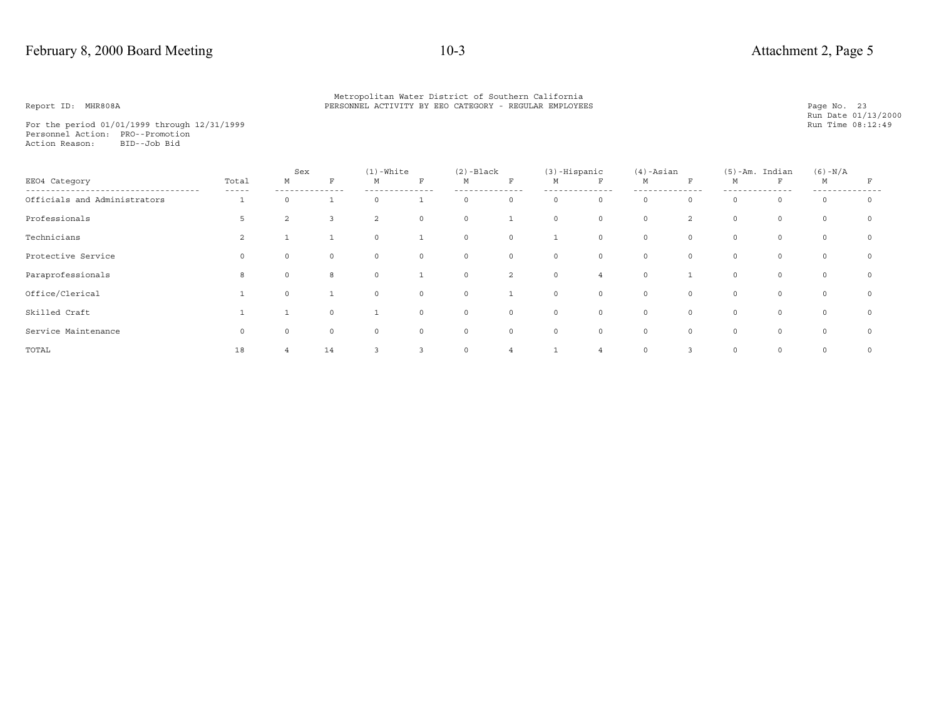## February 8, 2000 Board Meeting 10-3 Attachment 2, Page 5

### Metropolitan Water District of Southern California<br>PERSONNEL ACTIVITY BY EEO CATEGORY - REGULAR EMPLOYEE PERSONNEL ACTIVITY BY EEO CATEGORY - REGULAR EMPLOYEES

For the period 01/01/1999 through 12/31/1999 Personnel Action: PRO--PromotionAction Reason: BID--Job Bid

|                              |       | Sex            |              | $(1)$ -White |              | $(2)$ -Black |              | $(3)$ -Hispanic |                | $(4)$ -Asian |                |         | $(5)$ -Am. Indian | $(6) - N/A$ |            |
|------------------------------|-------|----------------|--------------|--------------|--------------|--------------|--------------|-----------------|----------------|--------------|----------------|---------|-------------------|-------------|------------|
| EE04 Category                | Total | М              | F            | М            | $\mathbf F$  | М            | $\mathbf F$  | M               | F              | М            | $\mathbf F$    | М       | $\mathbf{F}$      | M           | F          |
| Officials and Administrators |       | <sup>0</sup>   |              | $\circ$      |              | $\circ$      | $\circ$      | $\circ$         | $\circ$        | $\circ$      | $\Omega$       | $\circ$ | $\circ$           | $\circ$     | $\circ$    |
| Professionals                | 5     | $\overline{a}$ | $\mathbf{3}$ | 2            | $\circ$      | $\circ$      | $\mathbf{1}$ | $\circ$         | $\circ$        | $\mathbf 0$  | $\overline{2}$ | $\circ$ | $\circ$           | $\circ$     | $^{\circ}$ |
| Technicians                  | 2     |                |              | $\circ$      | $\mathbf{1}$ | $\circ$      | $\circ$      | 1               | $\circ$        | 0            | $\circ$        | $\circ$ | $\circ$           | $\circ$     | $^{\circ}$ |
| Protective Service           |       | $\Omega$       | $\circ$      | $\circ$      | $\circ$      | $\circ$      | $\circ$      | $\circ$         | $\mathbf 0$    | $\circ$      | $\circ$        | $\circ$ | $\circ$           | $\circ$     | $\Omega$   |
| Paraprofessionals            | 8     | $\circ$        | 8            | $\circ$      | $\mathbf{1}$ | $\circ$      | 2            | $\circ$         | $\overline{4}$ | $\mathbf{0}$ |                | $\circ$ | $\circ$           | $\circ$     | $^{\circ}$ |
| Office/Clerical              |       | $\circ$        |              | $\circ$      | $\circ$      | $\circ$      | $\mathbf{1}$ | $\circ$         | $\circ$        | $\circ$      | $\circ$        | $\circ$ | $\circ$           | $\circ$     | $^{\circ}$ |
| Skilled Craft                |       |                | $\circ$      | <b>T</b>     | 0            | $\circ$      | $\circ$      | $\circ$         | 0              | 0            | $\circ$        | $\circ$ | $\mathsf{O}$      | $\circ$     | $^{\circ}$ |
| Service Maintenance          |       |                | $\circ$      | $\circ$      | $\circ$      | $\mathsf{O}$ | $\circ$      | $\circ$         | $\circ$        | $\circ$      | $\Omega$       | $\circ$ | $\circ$           | $\circ$     | $^{\circ}$ |
| TOTAL                        | 18    | $\overline{4}$ | 14           | 3            | 3            | $\circ$      | 4            |                 |                | 0            | 3              | $\circ$ | $\circ$           | $\circ$     | $\Omega$   |

Page No. 23<br>Run Date 01/13/2000<br>Run Time 08:12:49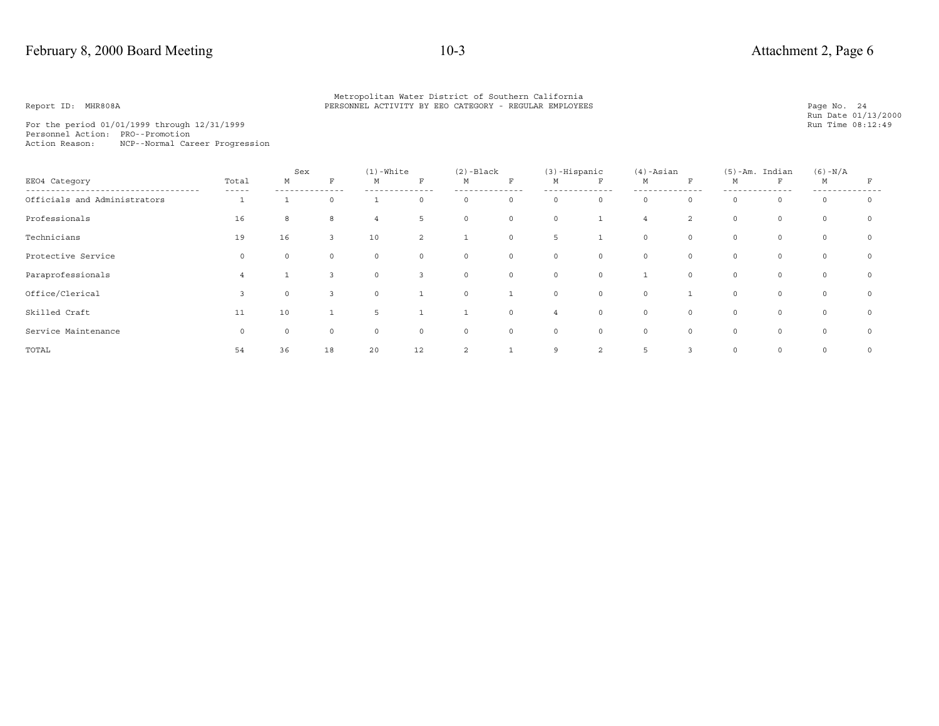For the period  $01/01/1999$  through  $12/31/1999$ Personnel Action: PRO--Promotion Action Reason: NCP--Normal Career Progression

|                              |                | Sex     |              | $(1)$ -White   |                           | $(2)$ -Black |              | $(3)$ -Hispanic |             | $(4)$ -Asian  |                | $(5)$ -Am. | Indian  | $(6) - N/A$ |             |
|------------------------------|----------------|---------|--------------|----------------|---------------------------|--------------|--------------|-----------------|-------------|---------------|----------------|------------|---------|-------------|-------------|
| EE04 Category                | Total<br>----- | М       |              | M              | $\boldsymbol{\mathrm{F}}$ | М            | $\mathbf F$  | М               | F           | М             | F              | М          | F       | M           | F           |
| Officials and Administrators |                |         | $\Omega$     |                | $\Omega$                  | $\circ$      | $\mathsf{O}$ | $\circ$         | $\mathbf 0$ | $\Omega$      | $\Omega$       | $\Omega$   | $\circ$ | $\circ$     | $\circ$     |
| Professionals                | 16             | 8       | 8            | $\overline{4}$ | 5                         | $\circ$      | $\circ$      | $\circ$         |             | 4             | $\overline{a}$ | $\circ$    | $\circ$ | $\circ$     | $\mathbf 0$ |
| Technicians                  | 19             | 16      | $\mathbf{3}$ | 10             | 2                         | $\mathbf{1}$ | $\circ$      | 5               |             | $\circ$       | $\circ$        | $\circ$    | $\circ$ | $\circ$     | $\circ$     |
| Protective Service           | $\Omega$       | $\circ$ | $\circ$      | $\circ$        | $\circ$                   | $\circ$      | $\circ$      | $\circ$         | $\circ$     | $\circ$       | $\circ$        | $\circ$    | $\circ$ | $\circ$     | $\circ$     |
| Paraprofessionals            | 4              |         |              | $\circ$        | 3                         | $\circ$      | $\circ$      | $\circ$         | $\mathbf 0$ |               | $\circ$        | $\circ$    | $\circ$ | $\circ$     | $\mathbf 0$ |
| Office/Clerical              |                | $\circ$ |              | $\circ$        |                           | $\circ$      |              | $\circ$         | $\circ$     | $\circ$       |                | $\circ$    | $\circ$ | $\circ$     | $\circ$     |
| Skilled Craft                | 11             | 10      |              | 5              |                           | $\mathbf{1}$ | $\circ$      | $\overline{4}$  | $\mathbb O$ | $\mathbf 0$   | $\circ$        | $\circ$    | 0       | $\circ$     | $\mathbf 0$ |
| Service Maintenance          | $\Omega$       |         | $\Omega$     | $\mathbf 0$    | $\mathbf 0$               | $\circ$      | $\circ$      | $\circ$         | $\mathbf 0$ | $\circ$       | 0              | $\Omega$   | $\circ$ | $\circ$     | $\circ$     |
| TOTAL                        | 54             | 36      | 18           | 20             | 12                        | 2            |              | 9               | 2           | $\mathcal{D}$ | 3              | $\circ$    | $\circ$ | $\circ$     | $\circ$     |

Page No. 24<br>Run Date 01/13/2000<br>Run Time 08:12:49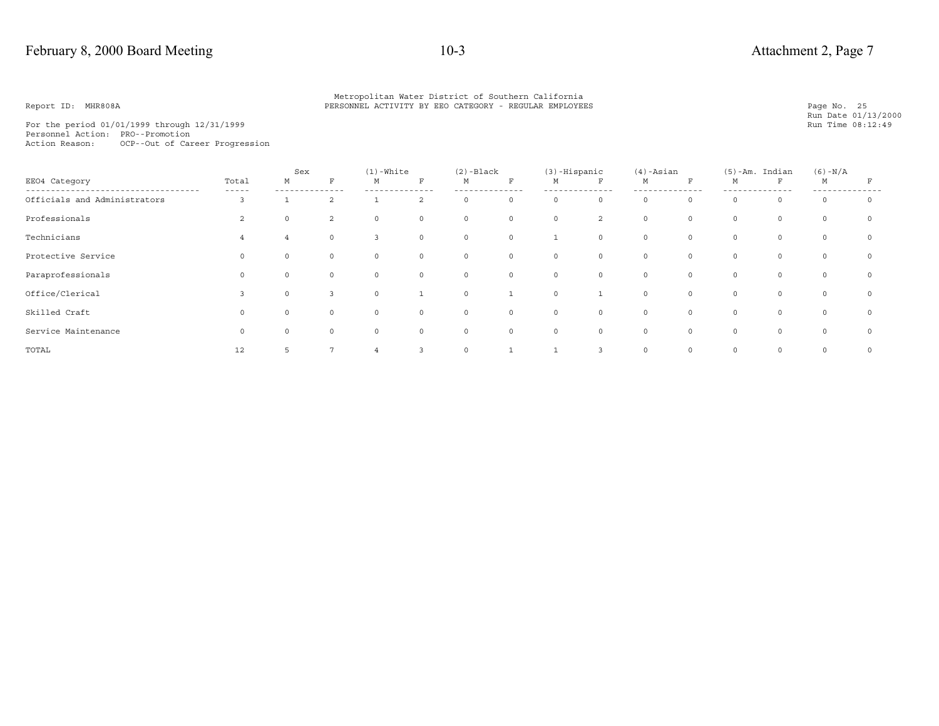For the period  $01/01/1999$  through  $12/31/1999$ Personnel Action: PRO--Promotion Action Reason: OCP--Out of Career Progression

|                              |                      | Sex      |                | $(1)$ -White            |             | $(2)$ -Black |             | (3)-Hispanic |                | $(4)$ -Asian |              |         | $(5)$ -Am. Indian | $(6) - N/A$ |         |
|------------------------------|----------------------|----------|----------------|-------------------------|-------------|--------------|-------------|--------------|----------------|--------------|--------------|---------|-------------------|-------------|---------|
| EE04 Category                | Total<br>$- - - - -$ | М        | F              | М                       | $\mathbf F$ | М            | $\mathbf F$ | M            | F              | М            | F            | М       | F                 | М           |         |
| Officials and Administrators | 3                    |          | $\overline{2}$ |                         | 2           | $\circ$      | $\circ$     | $\circ$      | $\circ$        | $\Omega$     | 0            | $\circ$ | $\circ$           | $\circ$     | $\circ$ |
| Professionals                | 2                    | $\circ$  | 2              | $\circ$                 | $\mathbb O$ | $\circ$      | $\circ$     | $\circ$      | $\overline{a}$ | $\circ$      | 0            | $\circ$ | $\circ$           | $\circ$     | $\circ$ |
| Technicians                  | 4                    | 4        | $\circ$        | $\overline{\mathbf{3}}$ | $\mathbb O$ | $\circ$      | $\circ$     |              | $\circ$        | $\circ$      | 0            | $\circ$ | $\circ$           | $\circ$     | $\circ$ |
| Protective Service           | $\Omega$             | $\Omega$ | $\Omega$       | $\circ$                 | $\mathbf 0$ | $\circ$      | $\circ$     | $\circ$      | $\circ$        | $\Omega$     | $\Omega$     | $\circ$ | $\circ$           | $\Omega$    | $\circ$ |
| Paraprofessionals            | $\Omega$             | $\Omega$ | $\circ$        | $\circ$                 | $\mathbb O$ | $\circ$      | $\circ$     | $\circ$      | $\circ$        | $\mathbf 0$  | $\mathsf{O}$ | $\circ$ | $\circ$           | $\circ$     | $\circ$ |
| Office/Clerical              | 3                    | $\circ$  | $\overline{3}$ | $\circ$                 | <b>T</b>    | $\circ$      | 1           | $\circ$      | $\mathbf{1}$   | $\mathbf 0$  | 0            | $\circ$ | $\circ$           | $\circ$     | $\circ$ |
| Skilled Craft                | $\Omega$             | $\Omega$ | $\Omega$       | $\circ$                 | $\circ$     | $\circ$      | $\circ$     | $\circ$      | $\circ$        | $\Omega$     | $\Omega$     | $\circ$ | $\Omega$          | $\Omega$    | $\circ$ |
| Service Maintenance          | $\Omega$             | $\Omega$ | $\Omega$       | $\circ$                 | $\mathbf 0$ | $\circ$      | $\circ$     | $\circ$      | $\circ$        | $\mathbf 0$  | $\circ$      | $\circ$ | $\circ$           | $\circ$     | $\circ$ |
| TOTAL                        | 12                   | 5        | 7              | $\overline{4}$          | 3           | $\circ$      | <b>T</b>    |              | 3              | $\mathbf 0$  | 0            | 0       | $\circ$           | $\circ$     | $\circ$ |

Page No. 25<br>Run Date 01/13/2000<br>Run Time 08:12:49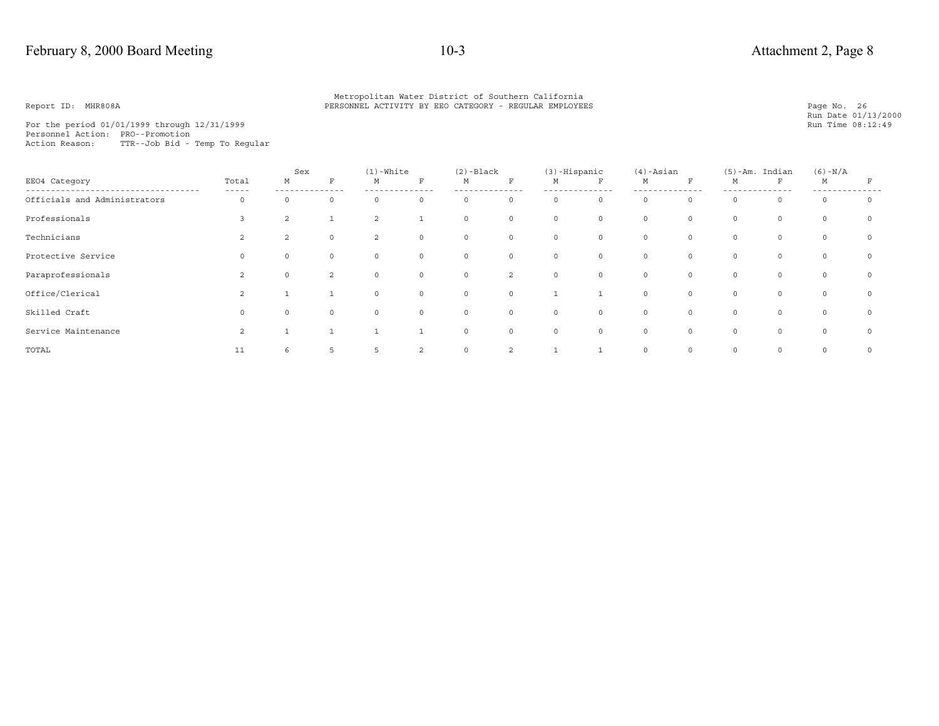For the period 01/01/1999 through 12/31/1999 Personnel Action: PRO--Promotion Action Reason: TTR--Job Bid - Temp To Regular

|                              |                | Sex            |                | $(1)$ -White   |              | $(2)$ -Black |                | $(3)$ -Hispanic |             | $(4)$ -Asian |          |          | $(5)$ -Am. Indian | $(6) - N/A$ |         |
|------------------------------|----------------|----------------|----------------|----------------|--------------|--------------|----------------|-----------------|-------------|--------------|----------|----------|-------------------|-------------|---------|
| EE04 Category                | Total<br>----- | М              | F              | М              | $\mathbf F$  | М            | $\mathbf F$    | M               | F           | М            | F        | М        | $\mathbf{F}$      | М           | F       |
| Officials and Administrators | 0              | $\Omega$       | 0              | $\mathbf 0$    | $\circ$      | 0            | $\circ$        | $\circ$         | $\mathbf 0$ | 0            | $\circ$  | $\Omega$ | $\circ$           | $\circ$     | $\circ$ |
| Professionals                |                | $\overline{a}$ |                | 2              |              | $\circ$      | $\circ$        | $\circ$         | $\circ$     | $\circ$      | $\circ$  | $\circ$  | $\circ$           | $\circ$     | $\circ$ |
| Technicians                  | 2              | 2              | $\circ$        | 2              | 0            | $\circ$      | $\circ$        | $\circ$         | $\circ$     | 0            | 0        | $\circ$  | $\circ$           | $\mathbb O$ | 0       |
| Protective Service           |                | 0              | $\circ$        | $\mathbf 0$    | $\circ$      | $\circ$      | $\circ$        | $\circ$         | $\circ$     | $\circ$      | $\circ$  | $\circ$  | $\circ$           | $\circ$     | $\circ$ |
| Paraprofessionals            | $\mathfrak{D}$ | $\circ$        | $\overline{a}$ | $\overline{0}$ | $\circ$      | $\circ$      | $\overline{a}$ | $\circ$         | $\circ$     | $\circ$      | $\circ$  | $\circ$  | $\circ$           | $\circ$     | $\circ$ |
| Office/Clerical              | 2              |                |                | $\mathbf 0$    | $\circ$      | $\circ$      | $\circ$        | $\mathbf{1}$    | ш.          | 0            | $\circ$  | $\circ$  | $\circ$           | $\mathbb O$ | $\circ$ |
| Skilled Craft                |                | $\Omega$       | $\circ$        | $\mathbf 0$    | $\mathbf 0$  | $\circ$      | $\circ$        | $\circ$         | $\circ$     | $\mathbf 0$  | $\Omega$ | $\Omega$ | $\Omega$          | $\Omega$    | $\circ$ |
| Service Maintenance          | $\mathfrak{D}$ |                |                | $\overline{1}$ | $\mathbf{1}$ | $\circ$      | $\circ$        | $\circ$         | $\circ$     | $\circ$      | $\circ$  | $\circ$  | $\circ$           | $\circ$     | $\circ$ |
| TOTAL                        | 11             | 6              | 5              | 5              | 2            | 0            | 2              |                 |             | 0            | $\circ$  | $\circ$  | $\circ$           | $\circ$     | $\circ$ |

Page No. 26<br>Run Date 01/13/2000<br>Run Time 08:12:49